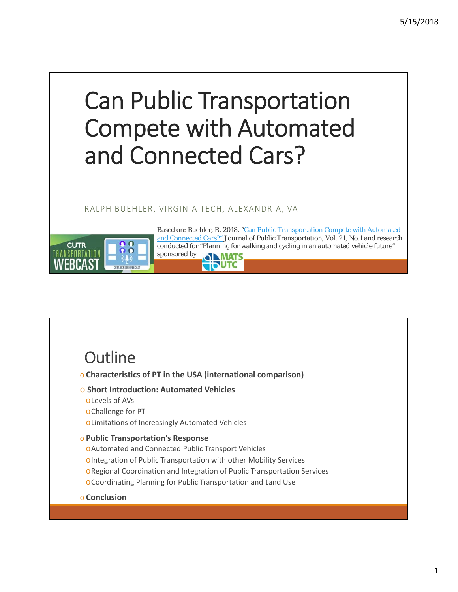# Can Public Transportation Compete with Automated and Connected Cars?

### RALPH BUEHLER, VIRGINIA TECH, ALEXANDRIA, VA



Based on: Buehler, R. 2018. "Can Public Transportation Compete with Automated and Connected Cars?" Journal of Public Transportation, Vol. 21, No.1 and research conducted for "Planning for walking and cycling in an automated vehicle future" sponsored by **OID MATS TITUTC** 

# **Outline**

- o **Characteristics of PT in the USA (international comparison)**
- o **Short Introduction: Automated Vehicles**
	- oLevels of AVs
	- oChallenge for PT
	- oLimitations of Increasingly Automated Vehicles

#### o **Public Transportation's Response**

- oAutomated and Connected Public Transport Vehicles
- oIntegration of Public Transportation with other Mobility Services
- oRegional Coordination and Integration of Public Transportation Services
- oCoordinating Planning for Public Transportation and Land Use
- o **Conclusion**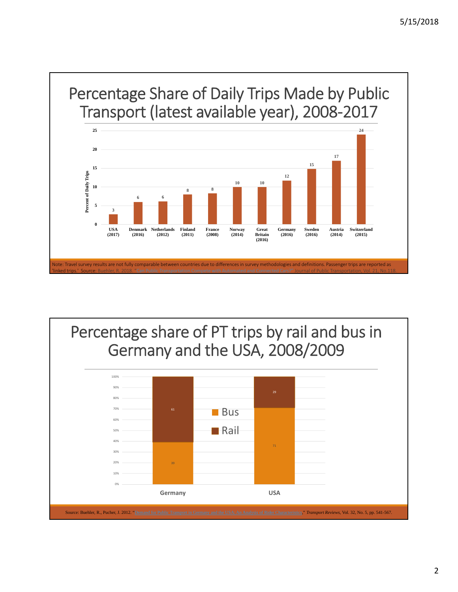

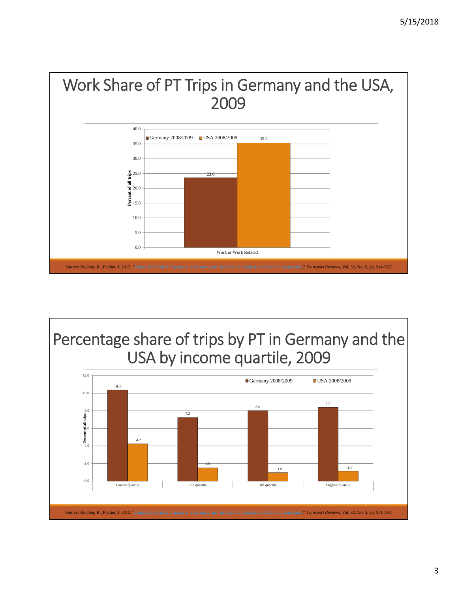

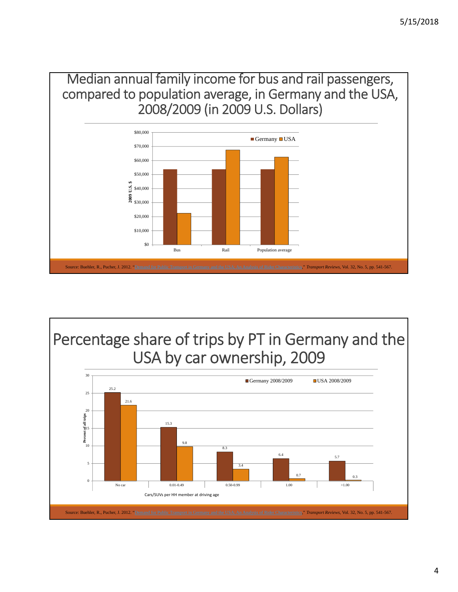Median annual family income for bus and rail passengers, compared to population average, in Germany and the USA, 2008/2009 (in 2009 U.S. Dollars)



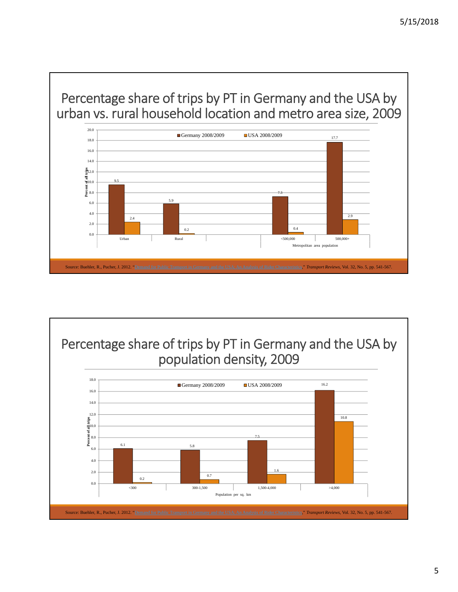



5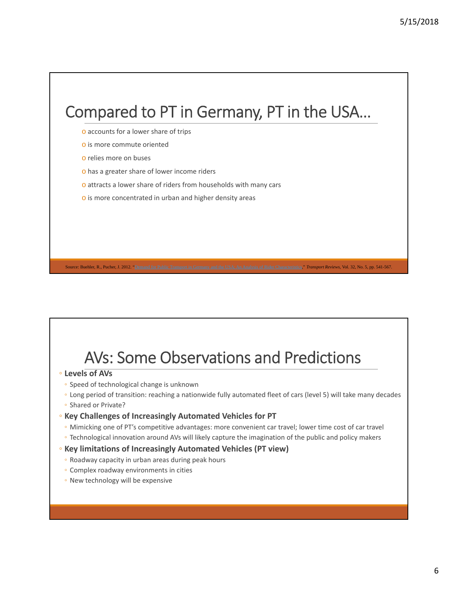# Compared to PT in Germany, PT in the USA…

- o accounts for a lower share of trips
- o is more commute oriented
- o relies more on buses
- o has a greater share of lower income riders
- o attracts a lower share of riders from households with many cars
- o is more concentrated in urban and higher density areas

# AVs: Some Observations and Predictions

Source: Buehler, R., Pucher, J. 2012. "Demand for Public Transport in Germany and the USA: An Analysis of Rider Characteristics," *Transport Reviews*, Vol. 32, No. 5, pp. 541-567.

- **Levels of AVs**
	- Speed of technological change is unknown
	- Long period of transition: reaching a nationwide fully automated fleet of cars (level 5) will take many decades
	- Shared or Private?

#### ◦ **Key Challenges of Increasingly Automated Vehicles for PT**

- Mimicking one of PT's competitive advantages: more convenient car travel; lower time cost of car travel
- Technological innovation around AVs will likely capture the imagination of the public and policy makers
- **Key limitations of Increasingly Automated Vehicles (PT view)**
	- Roadway capacity in urban areas during peak hours
- Complex roadway environments in cities
- New technology will be expensive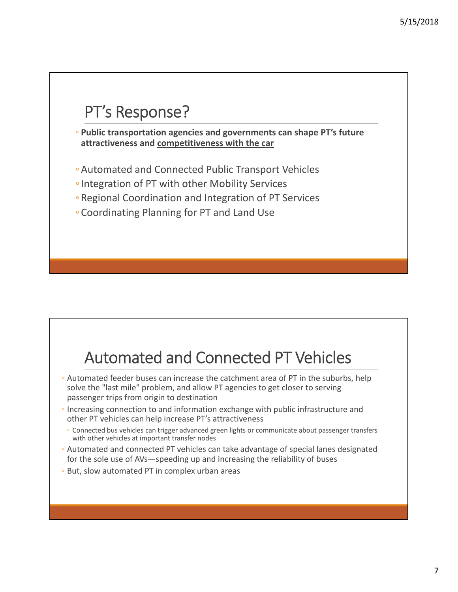# PT's Response?

◦ **Public transportation agencies and governments can shape PT's future attractiveness and competitiveness with the car**

- ◦Automated and Connected Public Transport Vehicles
- ◦Integration of PT with other Mobility Services
- ◦Regional Coordination and Integration of PT Services
- ◦Coordinating Planning for PT and Land Use

# Automated and Connected PT Vehicles

- Automated feeder buses can increase the catchment area of PT in the suburbs, help solve the "last mile" problem, and allow PT agencies to get closer to serving passenger trips from origin to destination
- Increasing connection to and information exchange with public infrastructure and other PT vehicles can help increase PT's attractiveness
	- Connected bus vehicles can trigger advanced green lights or communicate about passenger transfers with other vehicles at important transfer nodes
- Automated and connected PT vehicles can take advantage of special lanes designated for the sole use of AVs—speeding up and increasing the reliability of buses
- But, slow automated PT in complex urban areas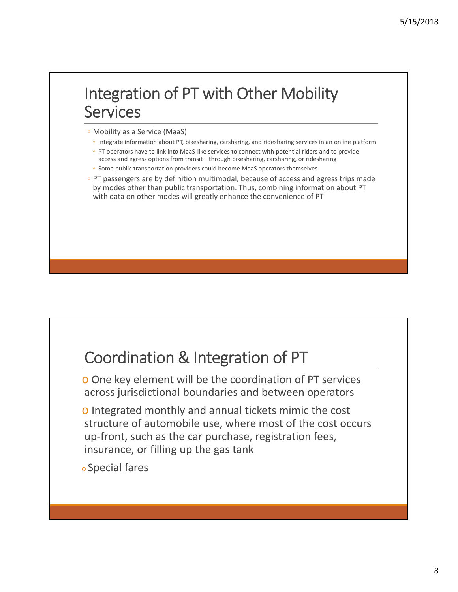# Integration of PT with Other Mobility Services

- Mobility as a Service (MaaS)
- Integrate information about PT, bikesharing, carsharing, and ridesharing services in an online platform
- PT operators have to link into MaaS‐like services to connect with potential riders and to provide access and egress options from transit—through bikesharing, carsharing, or ridesharing
- Some public transportation providers could become MaaS operators themselves
- PT passengers are by definition multimodal, because of access and egress trips made by modes other than public transportation. Thus, combining information about PT with data on other modes will greatly enhance the convenience of PT

### Coordination & Integration of PT

o One key element will be the coordination of PT services across jurisdictional boundaries and between operators

- o Integrated monthly and annual tickets mimic the cost structure of automobile use, where most of the cost occurs up‐front, such as the car purchase, registration fees, insurance, or filling up the gas tank
- <sup>o</sup> Special fares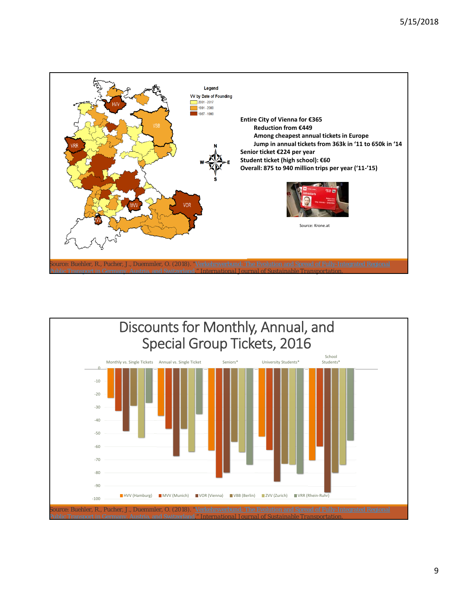

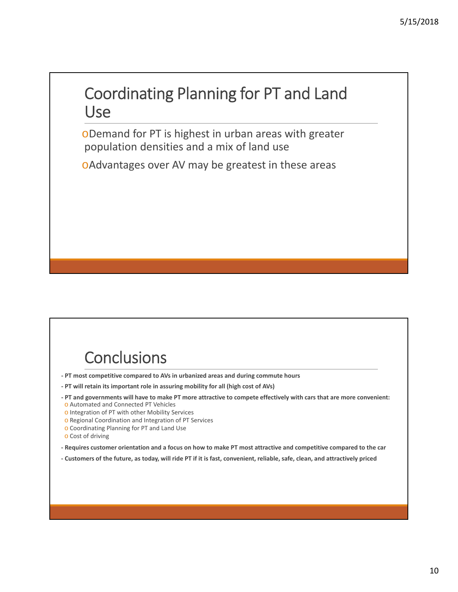### Coordinating Planning for PT and Land Use

oDemand for PT is highest in urban areas with greater population densities and a mix of land use

oAdvantages over AV may be greatest in these areas

# **Conclusions**

**‐ PT most competitive compared to AVs in urbanized areas and during commute hours**

- **‐ PT will retain its important role in assuring mobility for all (high cost of AVs)**
- PT and governments will have to make PT more attractive to compete effectively with cars that are more convenient: o Automated and Connected PT Vehicles
- o Integration of PT with other Mobility Services
- o Regional Coordination and Integration of PT Services
- o Coordinating Planning for PT and Land Use
- o Cost of driving
- Requires customer orientation and a focus on how to make PT most attractive and competitive compared to the car
- Customers of the future, as today, will ride PT if it is fast, convenient, reliable, safe, clean, and attractively priced